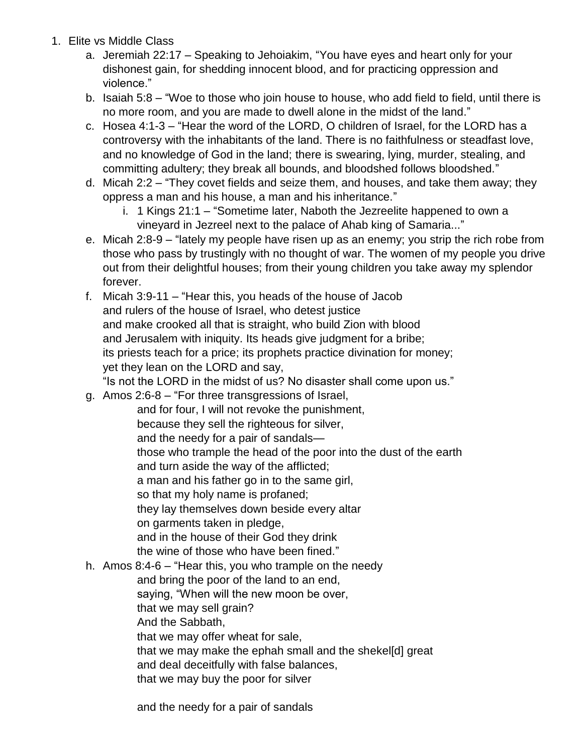- 1. Elite vs Middle Class
	- a. Jeremiah 22:17 Speaking to Jehoiakim, "You have eyes and heart only for your dishonest gain, for shedding innocent blood, and for practicing oppression and violence."
	- b. Isaiah 5:8 "Woe to those who join house to house, who add field to field, until there is no more room, and you are made to dwell alone in the midst of the land."
	- c. Hosea 4:1-3 "Hear the word of the LORD, O children of Israel, for the LORD has a controversy with the inhabitants of the land. There is no faithfulness or steadfast love, and no knowledge of God in the land; there is swearing, lying, murder, stealing, and committing adultery; they break all bounds, and bloodshed follows bloodshed."
	- d. Micah 2:2 "They covet fields and seize them, and houses, and take them away; they oppress a man and his house, a man and his inheritance."
		- i. 1 Kings 21:1 "Sometime later, Naboth the Jezreelite happened to own a vineyard in Jezreel next to the palace of Ahab king of Samaria..."
	- e. Micah 2:8-9 "lately my people have risen up as an enemy; you strip the rich robe from those who pass by trustingly with no thought of war. The women of my people you drive out from their delightful houses; from their young children you take away my splendor forever.
	- f. Micah 3:9-11 "Hear this, you heads of the house of Jacob and rulers of the house of Israel, who detest justice and make crooked all that is straight, who build Zion with blood and Jerusalem with iniquity. Its heads give judgment for a bribe; its priests teach for a price; its prophets practice divination for money; yet they lean on the LORD and say,

"Is not the LORD in the midst of us? No disaster shall come upon us."

g. Amos 2:6-8 – "For three transgressions of Israel,

and for four, I will not revoke the punishment, because they sell the righteous for silver, and the needy for a pair of sandals those who trample the head of the poor into the dust of the earth and turn aside the way of the afflicted; a man and his father go in to the same girl, so that my holy name is profaned; they lay themselves down beside every altar on garments taken in pledge, and in the house of their God they drink the wine of those who have been fined."

- h. Amos 8:4-6 "Hear this, you who trample on the needy
	- and bring the poor of the land to an end,

saying, "When will the new moon be over,

that we may sell grain?

And the Sabbath,

that we may offer wheat for sale,

that we may make the ephah small and the shekel[d] great

and deal deceitfully with false balances,

that we may buy the poor for silver

and the needy for a pair of sandals